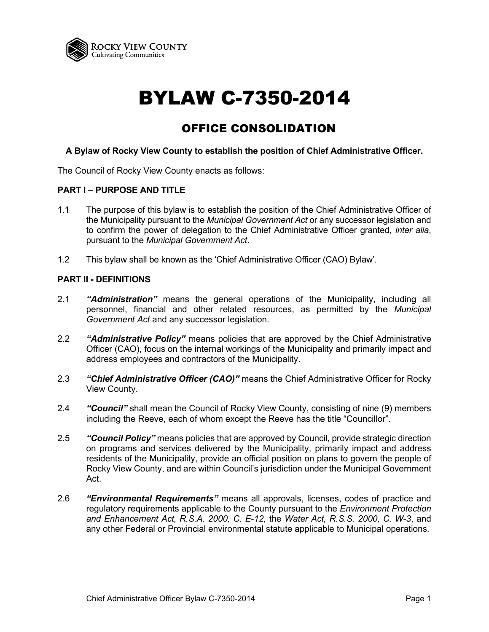

# BYLAW C-7350-2014

# OFFICE CONSOLIDATION

# **A Bylaw of Rocky View County to establish the position of Chief Administrative Officer.**

The Council of Rocky View County enacts as follows:

# **PART I – PURPOSE AND TITLE**

- 1.1 The purpose of this bylaw is to establish the position of the Chief Administrative Officer of the Municipality pursuant to the *Municipal Government Act* or any successor legislation and to confirm the power of delegation to the Chief Administrative Officer granted, *inter alia*, pursuant to the *Municipal Government Act*.
- 1.2 This bylaw shall be known as the 'Chief Administrative Officer (CAO) Bylaw'.

# **PART II - DEFINITIONS**

- 2.1 *"Administration"* means the general operations of the Municipality, including all personnel, financial and other related resources, as permitted by the *Municipal Government Act* and any successor legislation.
- 2.2 *"Administrative Policy"* means policies that are approved by the Chief Administrative Officer (CAO), focus on the internal workings of the Municipality and primarily impact and address employees and contractors of the Municipality.
- 2.3 *"Chief Administrative Officer (CAO)"* means the Chief Administrative Officer for Rocky View County.
- 2.4 *"Council"* shall mean the Council of Rocky View County, consisting of nine (9) members including the Reeve, each of whom except the Reeve has the title "Councillor".
- 2.5 *"Council Policy"* means policies that are approved by Council, provide strategic direction on programs and services delivered by the Municipality, primarily impact and address residents of the Municipality, provide an official position on plans to govern the people of Rocky View County, and are within Council's jurisdiction under the Municipal Government Act.
- 2.6 *"Environmental Requirements"* means all approvals, licenses, codes of practice and regulatory requirements applicable to the County pursuant to the *Environment Protection and Enhancement Act, R.S.A. 2000, C. E-12,* the *Water Act, R.S.S. 2000, C. W-3*, and any other Federal or Provincial environmental statute applicable to Municipal operations.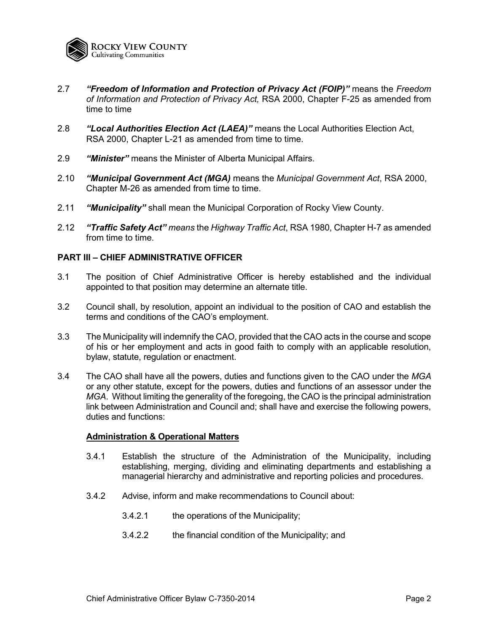

- 2.7 *"Freedom of Information and Protection of Privacy Act (FOIP)"* means the *Freedom of Information and Protection of Privacy Act,* RSA 2000, Chapter F-25 as amended from time to time
- 2.8 *"Local Authorities Election Act (LAEA)"* means the Local Authorities Election Act, RSA 2000, Chapter L-21 as amended from time to time.
- 2.9 *"Minister"* means the Minister of Alberta Municipal Affairs.
- 2.10 *"Municipal Government Act (MGA)* means the *Municipal Government Act*, RSA 2000, Chapter M-26 as amended from time to time.
- 2.11 *"Municipality"* shall mean the Municipal Corporation of Rocky View County.
- 2.12 *"Traffic Safety Act" means* the *Highway Traffic Act*, RSA 1980, Chapter H-7 as amended from time to time.

# **PART III – CHIEF ADMINISTRATIVE OFFICER**

- 3.1 The position of Chief Administrative Officer is hereby established and the individual appointed to that position may determine an alternate title.
- 3.2 Council shall, by resolution, appoint an individual to the position of CAO and establish the terms and conditions of the CAO's employment.
- 3.3 The Municipality will indemnify the CAO, provided that the CAO acts in the course and scope of his or her employment and acts in good faith to comply with an applicable resolution, bylaw, statute, regulation or enactment.
- 3.4 The CAO shall have all the powers, duties and functions given to the CAO under the *MGA* or any other statute, except for the powers, duties and functions of an assessor under the *MGA*. Without limiting the generality of the foregoing, the CAO is the principal administration link between Administration and Council and; shall have and exercise the following powers, duties and functions:

# **Administration & Operational Matters**

- 3.4.1 Establish the structure of the Administration of the Municipality, including establishing, merging, dividing and eliminating departments and establishing a managerial hierarchy and administrative and reporting policies and procedures.
- 3.4.2 Advise, inform and make recommendations to Council about:
	- 3.4.2.1 the operations of the Municipality;
	- 3.4.2.2 the financial condition of the Municipality; and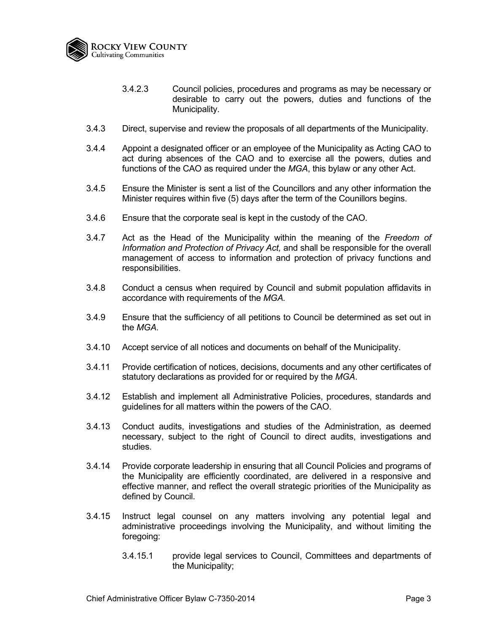

- 3.4.2.3 Council policies, procedures and programs as may be necessary or desirable to carry out the powers, duties and functions of the Municipality.
- 3.4.3 Direct, supervise and review the proposals of all departments of the Municipality.
- 3.4.4 Appoint a designated officer or an employee of the Municipality as Acting CAO to act during absences of the CAO and to exercise all the powers, duties and functions of the CAO as required under the *MGA*, this bylaw or any other Act.
- 3.4.5 Ensure the Minister is sent a list of the Councillors and any other information the Minister requires within five (5) days after the term of the Counillors begins.
- 3.4.6 Ensure that the corporate seal is kept in the custody of the CAO.
- 3.4.7 Act as the Head of the Municipality within the meaning of the *Freedom of Information and Protection of Privacy Act,* and shall be responsible for the overall management of access to information and protection of privacy functions and responsibilities.
- 3.4.8 Conduct a census when required by Council and submit population affidavits in accordance with requirements of the *MGA.*
- 3.4.9 Ensure that the sufficiency of all petitions to Council be determined as set out in the *MGA*.
- 3.4.10 Accept service of all notices and documents on behalf of the Municipality.
- 3.4.11 Provide certification of notices, decisions, documents and any other certificates of statutory declarations as provided for or required by the *MGA*.
- 3.4.12 Establish and implement all Administrative Policies, procedures, standards and guidelines for all matters within the powers of the CAO.
- 3.4.13 Conduct audits, investigations and studies of the Administration, as deemed necessary, subject to the right of Council to direct audits, investigations and studies.
- 3.4.14 Provide corporate leadership in ensuring that all Council Policies and programs of the Municipality are efficiently coordinated, are delivered in a responsive and effective manner, and reflect the overall strategic priorities of the Municipality as defined by Council.
- 3.4.15 Instruct legal counsel on any matters involving any potential legal and administrative proceedings involving the Municipality, and without limiting the foregoing:
	- 3.4.15.1 provide legal services to Council, Committees and departments of the Municipality;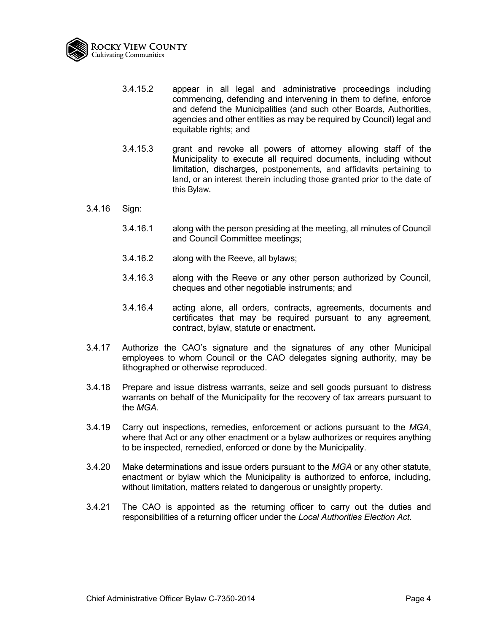

- 3.4.15.2 appear in all legal and administrative proceedings including commencing, defending and intervening in them to define, enforce and defend the Municipalities (and such other Boards, Authorities, agencies and other entities as may be required by Council) legal and equitable rights; and
- 3.4.15.3 grant and revoke all powers of attorney allowing staff of the Municipality to execute all required documents, including without limitation, discharges, postponements, and affidavits pertaining to land, or an interest therein including those granted prior to the date of this Bylaw.
- 3.4.16 Sign:
	- 3.4.16.1 along with the person presiding at the meeting, all minutes of Council and Council Committee meetings;
	- 3.4.16.2 along with the Reeve, all bylaws;
	- 3.4.16.3 along with the Reeve or any other person authorized by Council, cheques and other negotiable instruments; and
	- 3.4.16.4 acting alone, all orders, contracts, agreements, documents and certificates that may be required pursuant to any agreement, contract, bylaw, statute or enactment**.**
- 3.4.17 Authorize the CAO's signature and the signatures of any other Municipal employees to whom Council or the CAO delegates signing authority, may be lithographed or otherwise reproduced.
- 3.4.18 Prepare and issue distress warrants, seize and sell goods pursuant to distress warrants on behalf of the Municipality for the recovery of tax arrears pursuant to the *MGA*.
- 3.4.19 Carry out inspections, remedies, enforcement or actions pursuant to the *MGA*, where that Act or any other enactment or a bylaw authorizes or requires anything to be inspected, remedied, enforced or done by the Municipality.
- 3.4.20 Make determinations and issue orders pursuant to the *MGA* or any other statute, enactment or bylaw which the Municipality is authorized to enforce, including, without limitation, matters related to dangerous or unsightly property.
- 3.4.21 The CAO is appointed as the returning officer to carry out the duties and responsibilities of a returning officer under the *Local Authorities Election Act.*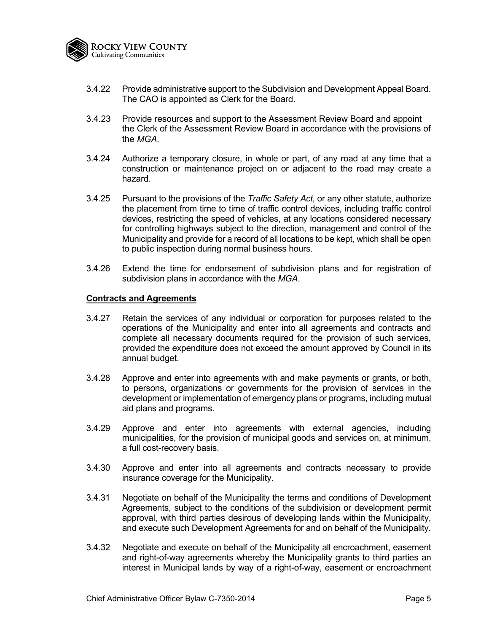

- 3.4.22 Provide administrative support to the Subdivision and Development Appeal Board. The CAO is appointed as Clerk for the Board.
- 3.4.23 Provide resources and support to the Assessment Review Board and appoint the Clerk of the Assessment Review Board in accordance with the provisions of the *MGA*.
- 3.4.24 Authorize a temporary closure, in whole or part, of any road at any time that a construction or maintenance project on or adjacent to the road may create a hazard.
- 3.4.25 Pursuant to the provisions of the *Traffic Safety Act,* or any other statute, authorize the placement from time to time of traffic control devices, including traffic control devices, restricting the speed of vehicles, at any locations considered necessary for controlling highways subject to the direction, management and control of the Municipality and provide for a record of all locations to be kept, which shall be open to public inspection during normal business hours.
- 3.4.26 Extend the time for endorsement of subdivision plans and for registration of subdivision plans in accordance with the *MGA*.

# **Contracts and Agreements**

- 3.4.27 Retain the services of any individual or corporation for purposes related to the operations of the Municipality and enter into all agreements and contracts and complete all necessary documents required for the provision of such services, provided the expenditure does not exceed the amount approved by Council in its annual budget.
- 3.4.28 Approve and enter into agreements with and make payments or grants, or both, to persons, organizations or governments for the provision of services in the development or implementation of emergency plans or programs, including mutual aid plans and programs.
- 3.4.29 Approve and enter into agreements with external agencies, including municipalities, for the provision of municipal goods and services on, at minimum, a full cost-recovery basis.
- 3.4.30 Approve and enter into all agreements and contracts necessary to provide insurance coverage for the Municipality.
- 3.4.31 Negotiate on behalf of the Municipality the terms and conditions of Development Agreements, subject to the conditions of the subdivision or development permit approval, with third parties desirous of developing lands within the Municipality, and execute such Development Agreements for and on behalf of the Municipality.
- 3.4.32 Negotiate and execute on behalf of the Municipality all encroachment, easement and right-of-way agreements whereby the Municipality grants to third parties an interest in Municipal lands by way of a right-of-way, easement or encroachment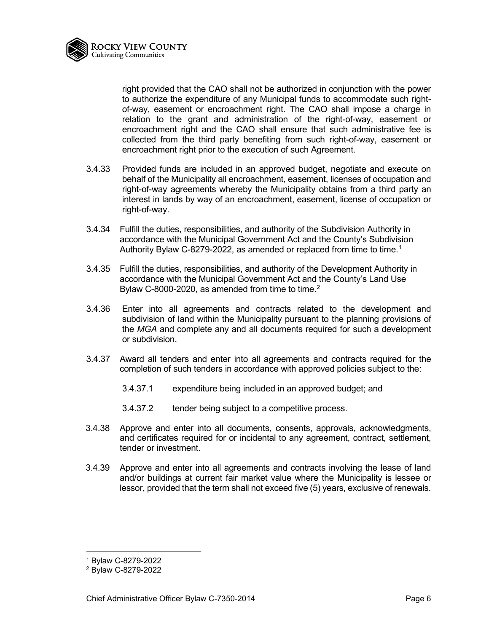

right provided that the CAO shall not be authorized in conjunction with the power to authorize the expenditure of any Municipal funds to accommodate such rightof-way, easement or encroachment right. The CAO shall impose a charge in relation to the grant and administration of the right-of-way, easement or encroachment right and the CAO shall ensure that such administrative fee is collected from the third party benefiting from such right-of-way, easement or encroachment right prior to the execution of such Agreement.

- 3.4.33 Provided funds are included in an approved budget, negotiate and execute on behalf of the Municipality all encroachment, easement, licenses of occupation and right-of-way agreements whereby the Municipality obtains from a third party an interest in lands by way of an encroachment, easement, license of occupation or right-of-way.
- 3.4.34 Fulfill the duties, responsibilities, and authority of the Subdivision Authority in accordance with the Municipal Government Act and the County's Subdivision Authority Bylaw C-8279-2022, as amended or replaced from time to time.<sup>[1](#page-5-0)</sup>
- 3.4.35 Fulfill the duties, responsibilities, and authority of the Development Authority in accordance with the Municipal Government Act and the County's Land Use Bylaw C-8000-[2](#page-5-1)020, as amended from time to time. $2$
- 3.4.36 Enter into all agreements and contracts related to the development and subdivision of land within the Municipality pursuant to the planning provisions of the *MGA* and complete any and all documents required for such a development or subdivision.
- 3.4.37 Award all tenders and enter into all agreements and contracts required for the completion of such tenders in accordance with approved policies subject to the:
	- 3.4.37.1 expenditure being included in an approved budget; and
	- 3.4.37.2 tender being subject to a competitive process.
- 3.4.38 Approve and enter into all documents, consents, approvals, acknowledgments, and certificates required for or incidental to any agreement, contract, settlement, tender or investment.
- 3.4.39 Approve and enter into all agreements and contracts involving the lease of land and/or buildings at current fair market value where the Municipality is lessee or lessor, provided that the term shall not exceed five (5) years, exclusive of renewals.

<sup>1</sup> Bylaw C-8279-2022

<span id="page-5-1"></span><span id="page-5-0"></span><sup>2</sup> Bylaw C-8279-2022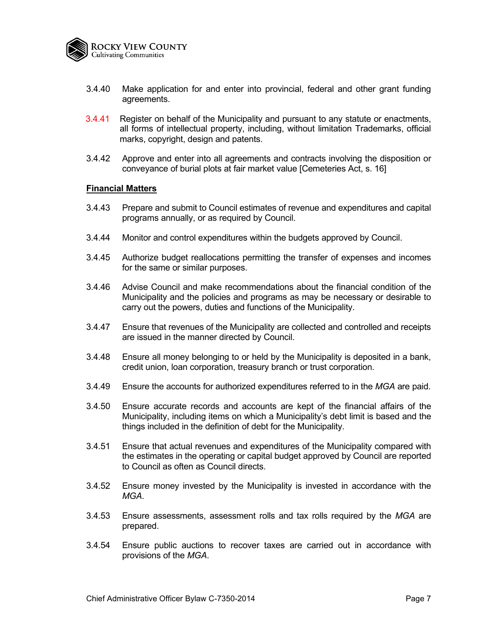

- 3.4.40 Make application for and enter into provincial, federal and other grant funding agreements.
- 3.4.41 Register on behalf of the Municipality and pursuant to any statute or enactments, all forms of intellectual property, including, without limitation Trademarks, official marks, copyright, design and patents.
- 3.4.42 Approve and enter into all agreements and contracts involving the disposition or conveyance of burial plots at fair market value [Cemeteries Act, s. 16]

#### **Financial Matters**

- 3.4.43 Prepare and submit to Council estimates of revenue and expenditures and capital programs annually, or as required by Council.
- 3.4.44 Monitor and control expenditures within the budgets approved by Council.
- 3.4.45 Authorize budget reallocations permitting the transfer of expenses and incomes for the same or similar purposes.
- 3.4.46 Advise Council and make recommendations about the financial condition of the Municipality and the policies and programs as may be necessary or desirable to carry out the powers, duties and functions of the Municipality.
- 3.4.47 Ensure that revenues of the Municipality are collected and controlled and receipts are issued in the manner directed by Council.
- 3.4.48 Ensure all money belonging to or held by the Municipality is deposited in a bank, credit union, loan corporation, treasury branch or trust corporation.
- 3.4.49 Ensure the accounts for authorized expenditures referred to in the *MGA* are paid.
- 3.4.50 Ensure accurate records and accounts are kept of the financial affairs of the Municipality, including items on which a Municipality's debt limit is based and the things included in the definition of debt for the Municipality.
- 3.4.51 Ensure that actual revenues and expenditures of the Municipality compared with the estimates in the operating or capital budget approved by Council are reported to Council as often as Council directs.
- 3.4.52 Ensure money invested by the Municipality is invested in accordance with the *MGA*.
- 3.4.53 Ensure assessments, assessment rolls and tax rolls required by the *MGA* are prepared.
- 3.4.54 Ensure public auctions to recover taxes are carried out in accordance with provisions of the *MGA*.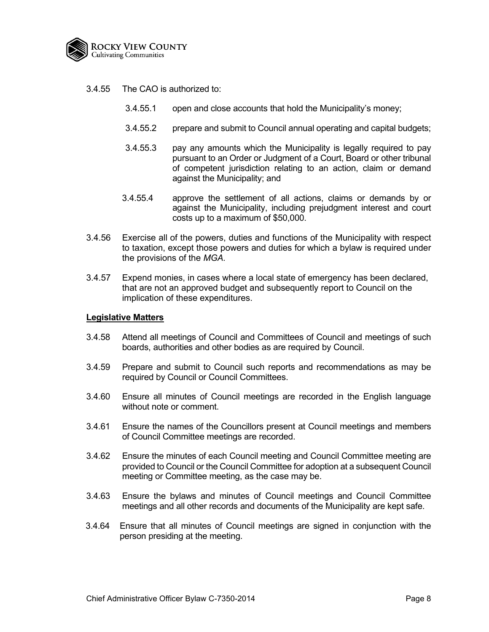

- 3.4.55 The CAO is authorized to:
	- 3.4.55.1 open and close accounts that hold the Municipality's money;
	- 3.4.55.2 prepare and submit to Council annual operating and capital budgets;
	- 3.4.55.3 pay any amounts which the Municipality is legally required to pay pursuant to an Order or Judgment of a Court, Board or other tribunal of competent jurisdiction relating to an action, claim or demand against the Municipality; and
	- 3.4.55.4 approve the settlement of all actions, claims or demands by or against the Municipality, including prejudgment interest and court costs up to a maximum of \$50,000.
- 3.4.56 Exercise all of the powers, duties and functions of the Municipality with respect to taxation, except those powers and duties for which a bylaw is required under the provisions of the *MGA.*
- 3.4.57 Expend monies, in cases where a local state of emergency has been declared, that are not an approved budget and subsequently report to Council on the implication of these expenditures.

#### **Legislative Matters**

- 3.4.58 Attend all meetings of Council and Committees of Council and meetings of such boards, authorities and other bodies as are required by Council.
- 3.4.59 Prepare and submit to Council such reports and recommendations as may be required by Council or Council Committees.
- 3.4.60 Ensure all minutes of Council meetings are recorded in the English language without note or comment.
- 3.4.61 Ensure the names of the Councillors present at Council meetings and members of Council Committee meetings are recorded.
- 3.4.62 Ensure the minutes of each Council meeting and Council Committee meeting are provided to Council or the Council Committee for adoption at a subsequent Council meeting or Committee meeting, as the case may be.
- 3.4.63 Ensure the bylaws and minutes of Council meetings and Council Committee meetings and all other records and documents of the Municipality are kept safe.
- 3.4.64 Ensure that all minutes of Council meetings are signed in conjunction with the person presiding at the meeting.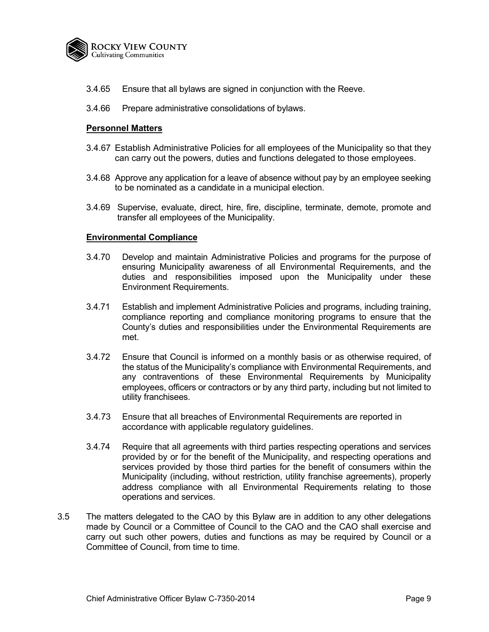

- 3.4.65 Ensure that all bylaws are signed in conjunction with the Reeve.
- 3.4.66 Prepare administrative consolidations of bylaws.

# **Personnel Matters**

- 3.4.67 Establish Administrative Policies for all employees of the Municipality so that they can carry out the powers, duties and functions delegated to those employees.
- 3.4.68 Approve any application for a leave of absence without pay by an employee seeking to be nominated as a candidate in a municipal election.
- 3.4.69 Supervise, evaluate, direct, hire, fire, discipline, terminate, demote, promote and transfer all employees of the Municipality.

#### **Environmental Compliance**

- 3.4.70 Develop and maintain Administrative Policies and programs for the purpose of ensuring Municipality awareness of all Environmental Requirements, and the duties and responsibilities imposed upon the Municipality under these Environment Requirements.
- 3.4.71 Establish and implement Administrative Policies and programs, including training, compliance reporting and compliance monitoring programs to ensure that the County's duties and responsibilities under the Environmental Requirements are met.
- 3.4.72 Ensure that Council is informed on a monthly basis or as otherwise required, of the status of the Municipality's compliance with Environmental Requirements, and any contraventions of these Environmental Requirements by Municipality employees, officers or contractors or by any third party, including but not limited to utility franchisees.
- 3.4.73 Ensure that all breaches of Environmental Requirements are reported in accordance with applicable regulatory guidelines.
- 3.4.74 Require that all agreements with third parties respecting operations and services provided by or for the benefit of the Municipality, and respecting operations and services provided by those third parties for the benefit of consumers within the Municipality (including, without restriction, utility franchise agreements), properly address compliance with all Environmental Requirements relating to those operations and services.
- 3.5 The matters delegated to the CAO by this Bylaw are in addition to any other delegations made by Council or a Committee of Council to the CAO and the CAO shall exercise and carry out such other powers, duties and functions as may be required by Council or a Committee of Council, from time to time.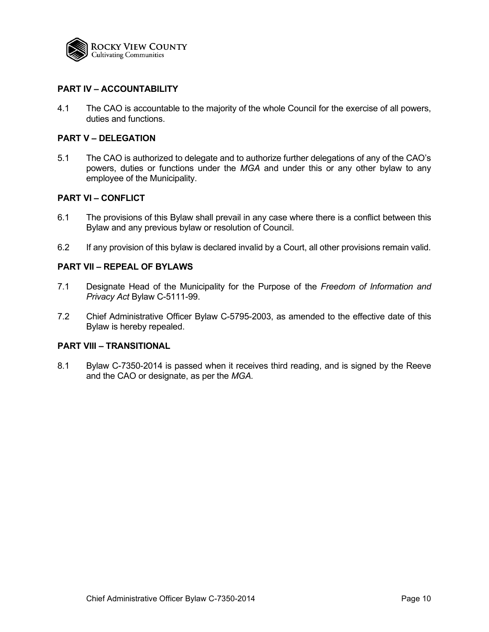

# **PART IV – ACCOUNTABILITY**

4.1 The CAO is accountable to the majority of the whole Council for the exercise of all powers, duties and functions.

# **PART V – DELEGATION**

5.1 The CAO is authorized to delegate and to authorize further delegations of any of the CAO's powers, duties or functions under the *MGA* and under this or any other bylaw to any employee of the Municipality.

# **PART VI – CONFLICT**

- 6.1 The provisions of this Bylaw shall prevail in any case where there is a conflict between this Bylaw and any previous bylaw or resolution of Council.
- 6.2 If any provision of this bylaw is declared invalid by a Court, all other provisions remain valid.

# **PART VII – REPEAL OF BYLAWS**

- 7.1 Designate Head of the Municipality for the Purpose of the *Freedom of Information and Privacy Act* Bylaw C-5111-99.
- 7.2 Chief Administrative Officer Bylaw C-5795-2003, as amended to the effective date of this Bylaw is hereby repealed.

# **PART VIII – TRANSITIONAL**

8.1 Bylaw C-7350-2014 is passed when it receives third reading, and is signed by the Reeve and the CAO or designate, as per the *MGA.*